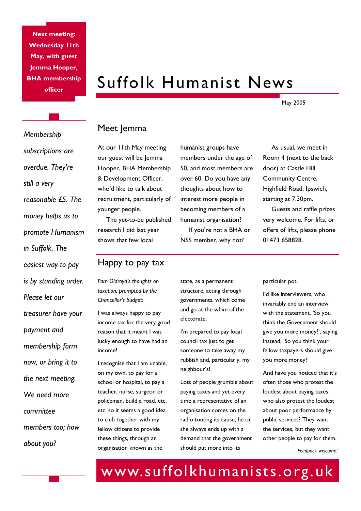**Next meeting: Wednesday 11th May, with guest Jemma Hooper, BHA membership officer** 

# Suffolk Humanist News

May 2005

## Meet Jemma

At our 11th May meeting our guest will be Jemma Hooper, BHA Membership & Development Officer, who'd like to talk about recruitment, particularly of younger people.

 The yet-to-be published research I did last year shows that few local

## Happy to pay tax

*Pam Oldroyd's thoughts on taxation, prompted by the Chancellor's budget:* 

I was always happy to pay income tax for the very good reason that it meant I was lucky enough to have had an income!

I recognise that I am unable, on my own, to pay for a school or hospital, to pay a teacher, nurse, surgeon or policeman, build a road, etc. etc. so it seems a good idea to club together with my fellow citizens to provide these things, through an organisation known as the

humanist groups have members under the age of 50, and most members are over 60. Do you have any thoughts about how to interest more people in becoming members of a humanist organisation? If you're not a BHA or

NSS member, why not?

Room 4 (next to the back door) at Castle Hill Community Centre, Highfield Road, Ipswich, starting at 7.30pm. Guests and raffle prizes

As usual, we meet in

very welcome. For lifts, or offers of lifts, please phone 01473 658828.

state, as a permanent structure, acting through governments, which come and go at the whim of the electorate.

I'm prepared to pay local council tax just to get someone to take away my rubbish and, particularly, my neighbour's!

Lots of people grumble about paying taxes and yet every time a representative of an organisation comes on the radio touting its cause, he or she always ends up with a demand that the government should put more into its

particular pot.

I'd like interviewers, who invariably end an interview with the statement, 'So you think the Government should give you more money?', saying instead, 'So you think your fellow taxpayers should give you more money?'

And have you noticed that it's often those who protest the loudest about paying taxes who also protest the loudest about poor performance by public services? They want the services, but they want other people to pay for them.

*Feedback welcome!* 

# www.suffolkhumanists.org.uk

*Membership subscriptions are overdue. They're still a very reasonable £5. The money helps us to promote Humanism in Suffolk. The easiest way to pay is by standing order. Please let our treasurer have your payment and membership form now, or bring it to the next meeting. We need more committee members too; how about you?*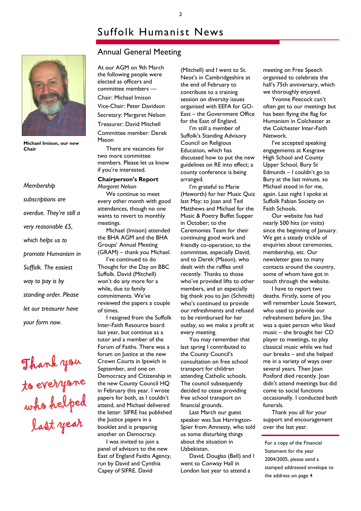# Suffolk Humanist News



**Michael Imison, our new Chair** 

*Membership subscriptions are overdue. They're still a very reasonable £5, which helps us to promote Humanism in Suffolk. The easiest way to pay is by standing order. Please let our treasurer have your form now.* 

Thank you<br>to everyone<br>who helped<br>last year

### Annual General Meeting

At our AGM on 9th March the following people were elected as officers and committee members —

Chair: Michael Imison Vice-Chair: Peter Davidson Secretary: Margaret Nelson Treasurer: David Mitchell Committee member: Derek Mason

 There are vacancies for two more committee members. Please let us know if you're interested.

#### **Chairperson's Report**  *Margaret Nelson*

 We continue to meet every other month with good attendances, though no one wants to revert to monthly meetings.

 Michael (Imison) attended the BHA AGM and the BHA Groups' Annual Meeting (GRAM) – thank you Michael.

 I've continued to do Thought for the Day on BBC Suffolk. David (Mitchell) won't do any more for a while, due to family commitments. We've reviewed the papers a couple of times.

 I resigned from the Suffolk Inter-Faith Resource board last year, but continue as a tutor and a member of the Forum of Faiths. There was a forum on Justice at the new Crown Courts in Ipswich in September, and one on Democracy and Citizenship in the new County Council HQ in February this year. I wrote papers for both, as I couldn't attend, and Michael delivered the latter. SIFRE has published the Justice papers in a booklet and is preparing another on Democracy.

 I was invited to join a panel of advisors to the new East of England Faiths Agency, run by David and Cynthia Capey of SIFRE. David

(Mitchell) and I went to St. Neot's in Cambridgeshire at the end of February to contribute to a training session on diversity issues organised with EEFA for GO-East – the Government Office for the East of England.

 I'm still a member of Suffolk's Standing Advisory Council on Religious Education, which has discussed how to put the new guidelines on RE into effect; a county conference is being arranged.

 I'm grateful to Marie (Haworth) for her Music Quiz last May; to Joan and Ted Matthews and Michael for the Music & Poetry Buffet Supper in October; to the Ceremonies Team for their continuing good work and friendly co-operation; to the committee, especially David, and to Derek (Mason), who dealt with the raffles until recently. Thanks to those who've provided lifts to other members, and an especially big thank you to Jan (Schmidt) who's continued to provide our refreshments and refused to be reimbursed for her outlay, so we make a profit at every meeting.

 You may remember that last spring I contributed to the County Council's consultation on free school transport for children attending Catholic schools. The council subsequently decided to cease providing free school transport on financial grounds.

 Last March our guest speaker was Sue Harrington-Spier from Amnesty, who told us some disturbing things about the situation in Uzbekistan.

 David, Douglas (Bell) and I went to Conway Hall in London last year to attend a

meeting on Free Speech organised to celebrate the hall's 75th anniversary, which we thoroughly enjoyed.

 Yvonne Peecock can't often get to our meetings but has been flying the flag for Humanism in Colchester at the Colchester Inter-Faith Network.

 I've accepted speaking engagements at Kesgrave High School and County Upper School, Bury St Edmunds – I couldn't go to Bury at the last minute, so Michael stood in for me, again. Last night I spoke at Suffolk Fabian Society on Faith Schools.

 Our website has had nearly 500 hits (or visits) since the beginning of January. We get a steady trickle of enquiries about ceremonies, membership, etc. Our newsletter goes to many contacts around the country, some of whom have got in touch through the website.

 I have to report two deaths. Firstly, some of you will remember Louie Stewart, who used to provide our refreshment before Jan. She was a quiet person who liked music – she brought her CD player to meetings, to play classical music while we had our breaks – and she helped me in a variety of ways over several years. Then Joan Posford died recently. Joan didn't attend meetings but did come to social functions occasionally. I conducted both funerals.

 Thank you all for your support and encouragement over the last year.

For a copy of the Financial Statement for the year 2004/2005, please send a stamped addressed envelope to the address on page 4

2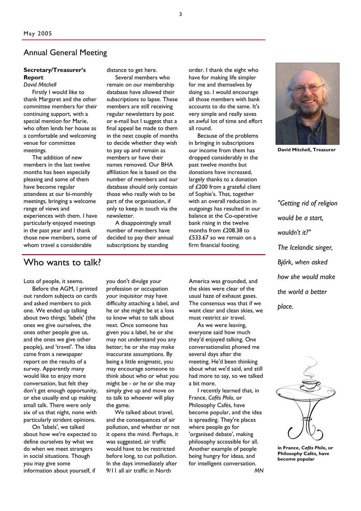### Annual General Meeting

#### **Secretary/Treasurer's Report**

*David Mitchell* 

 Firstly I would like to thank Margaret and the other committee members for their continuing support, with a special mention for Marie, who often lends her house as a comfortable and welcoming venue for committee meetings.

 The addition of new members in the last twelve months has been especially pleasing and some of them have become regular attendees at our bi-monthly meetings, bringing a welcome range of views and experiences with them. I have particularly enjoyed meetings in the past year and I thank those new members, some of whom travel a considerable

distance to get here.

 Several members who remain on our membership database have allowed their subscriptions to lapse. These members are still receiving regular newsletters by post or e-mail but I suggest that a final appeal be made to them in the next couple of months to decide whether they wish to pay up and remain as members or have their names removed. Our BHA affiliation fee is based on the number of members and our database should only contain those who really wish to be part of the organisation, if only to keep in touch via the newsletter.

 A disappointingly small number of members have decided to pay their annual subscriptions by standing

order. I thank the eight who have for making life simpler for me and themselves by doing so. I would encourage all those members with bank accounts to do the same. It's very simple and really saves an awful lot of time and effort all round.

 Because of the problems in bringing in subscriptions our income from them has dropped considerably in the past twelve months but donations have increased, largely thanks to a donation of £200 from a grateful client of Sophie's. That, together with an overall reduction in outgoings has resulted in our balance at the Co-operative bank rising in the twelve months from £208.38 to £533.67 so we remain on a firm financial footing.



**David Mitchell, Treasurer** 

*"Getting rid of religion would be a start, wouldn't it?" The Icelandic singer, Bjőrk, when asked how she would make the world a better place.* 



**in France,** *Cafés Philo***, or Philosophy Cafés, have become popular** 

## Who wants to talk?

Lots of people, it seems.

 Before the AGM, I printed out random subjects on cards and asked members to pick one. We ended up talking about two things; 'labels' (the ones we give ourselves, the ones other people give us, and the ones we give other people), and 'travel'. The idea came from a newspaper report on the results of a survey. Apparently many would like to enjoy more conversation, but felt they don't get enough opportunity, or else usually end up making small talk. There were only six of us that night, none with particularly strident opinions.

 On 'labels', we talked about how we're expected to define ourselves by what we do when we meet strangers in social situations. Though you may give some information about yourself, if

you don't divulge your profession or occupation your inquisitor may have difficulty attaching a label, and he or she might be at a loss to know what to talk about next. Once someone has given you a label, he or she may not understand you any better; he or she may make inaccurate assumptions. By being a little enigmatic, you may encourage someone to think about who or what you might be - or he or she may simply give up and move on to talk to whoever will play the game.

We talked about travel. and the consequences of air pollution, and whether or not it opens the mind. Perhaps, it was suggested, air traffic would have to be restricted before long, to cut pollution. In the days immediately after 9/11 all air traffic in North

America was grounded, and the skies were clear of the usual haze of exhaust gases. The consensus was that if we want clear and clean skies, we must restrict air travel.

 As we were leaving, everyone said how much they'd enjoyed talking. One conversationalist phoned me several days after the meeting. He'd been thinking about what we'd said, and still had more to say, so we talked a bit more.

 I recently learned that, in France, *Cafés Philo*, or Philosophy Cafés, have become popular, and the idea is spreading. They're places where people go for 'organised debate', making philosophy accessible for all. Another example of people being hungry for ideas, and for intelligent conversation.

*MN*